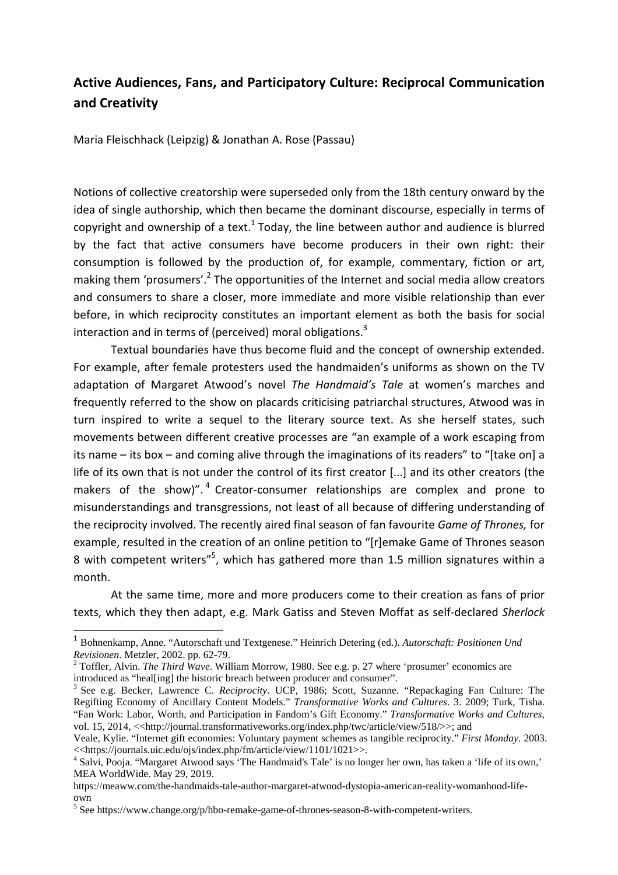## **Active Audiences, Fans, and Participatory Culture: Reciprocal Communication and Creativity**

Maria Fleischhack (Leipzig) & Jonathan A. Rose (Passau)

Notions of collective creatorship were superseded only from the 18th century onward by the idea of single authorship, which then became the dominant discourse, especially in terms of copyright and ownership of a text.<sup>1</sup> Today, the line between author and audience is blurred by the fact that active consumers have become producers in their own right: their consumption is followed by the production of, for example, commentary, fiction or art, making them 'prosumers'.<sup>2</sup> The opportunities of the Internet and social media allow creators and consumers to share a closer, more immediate and more visible relationship than ever before, in which reciprocity constitutes an important element as both the basis for social interaction and in terms of (perceived) moral obligations.<sup>3</sup>

Textual boundaries have thus become fluid and the concept of ownership extended. For example, after female protesters used the handmaiden's uniforms as shown on the TV adaptation of Margaret Atwood's novel *The Handmaid's Tale* at women's marches and frequently referred to the show on placards criticising patriarchal structures, Atwood was in turn inspired to write a sequel to the literary source text. As she herself states, such movements between different creative processes are "an example of a work escaping from its name – its box – and coming alive through the imaginations of its readers" to "[take on] a life of its own that is not under the control of its first creator [...] and its other creators (the makers of the show)".<sup>4</sup> Creator-consumer relationships are complex and prone to misunderstandings and transgressions, not least of all because of differing understanding of the reciprocity involved. The recently aired final season of fan favourite *Game of Thrones,* for example, resulted in the creation of an online petition to "[r]emake Game of Thrones season 8 with competent writers"<sup>5</sup>, which has gathered more than 1.5 million signatures within a month.

At the same time, more and more producers come to their creation as fans of prior texts, which they then adapt, e.g. Mark Gatiss and Steven Moffat as self-declared *Sherlock* 

<sup>1</sup> Bohnenkamp, Anne. "Autorschaft und Textgenese." Heinrich Detering (ed.). *Autorschaft: Positionen Und Revisionen*. Metzler, 2002. pp. 62-79.

<sup>&</sup>lt;sup>2</sup> Toffler, Alvin. *The Third Wave*. William Morrow, 1980. See e.g. p. 27 where 'prosumer' economics are introduced as "heal[ing] the historic breach between producer and consumer".

<sup>3</sup> See e.g. Becker, Lawrence C. *Reciprocity*. UCP, 1986; Scott, Suzanne. "Repackaging Fan Culture: The Regifting Economy of Ancillary Content Models." *Transformative Works and Cultures*. 3. 2009; Turk, Tisha. "Fan Work: Labor, Worth, and Participation in Fandom's Gift Economy." *Transformative Works and Cultures*, vol. 15, 2014, <<http://journal.transformativeworks.org/index.php/twc/article/view/518/>>; and

Veale, Kylie. "Internet gift economies: Voluntary payment schemes as tangible reciprocity." *First Monday.* 2003. <<https://journals.uic.edu/ojs/index.php/fm/article/view/1101/1021>>.

<sup>&</sup>lt;sup>4</sup> Salvi, Pooja. "Margaret Atwood says 'The Handmaid's Tale' is no longer her own, has taken a 'life of its own,' MEA WorldWide. May 29, 2019.

https://meaww.com/the-handmaids-tale-author-margaret-atwood-dystopia-american-reality-womanhood-lifeown

<sup>&</sup>lt;sup>5</sup> See https://www.change.org/p/hbo-remake-game-of-thrones-season-8-with-competent-writers.